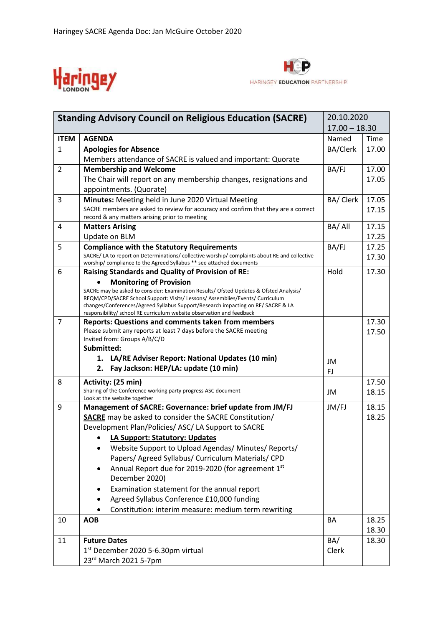



| <b>Standing Advisory Council on Religious Education (SACRE)</b> |                                                                                                                                                           | 20.10.2020      |                 |  |
|-----------------------------------------------------------------|-----------------------------------------------------------------------------------------------------------------------------------------------------------|-----------------|-----------------|--|
|                                                                 |                                                                                                                                                           |                 | $17.00 - 18.30$ |  |
| <b>ITEM</b>                                                     | <b>AGENDA</b>                                                                                                                                             | Named           | Time            |  |
| $\mathbf{1}$                                                    | <b>Apologies for Absence</b>                                                                                                                              | <b>BA/Clerk</b> | 17.00           |  |
|                                                                 | Members attendance of SACRE is valued and important: Quorate                                                                                              |                 |                 |  |
| $\overline{2}$                                                  | <b>Membership and Welcome</b>                                                                                                                             | BA/FJ           | 17.00           |  |
|                                                                 | The Chair will report on any membership changes, resignations and                                                                                         |                 | 17.05           |  |
|                                                                 | appointments. (Quorate)                                                                                                                                   |                 |                 |  |
| 3                                                               | Minutes: Meeting held in June 2020 Virtual Meeting                                                                                                        | BA/ Clerk       | 17.05           |  |
|                                                                 | SACRE members are asked to review for accuracy and confirm that they are a correct<br>record & any matters arising prior to meeting                       |                 | 17.15           |  |
| 4                                                               | <b>Matters Arising</b>                                                                                                                                    | BA/All          | 17.15           |  |
|                                                                 | Update on BLM                                                                                                                                             |                 | 17.25           |  |
| 5                                                               | <b>Compliance with the Statutory Requirements</b>                                                                                                         | BA/FJ           | 17.25           |  |
|                                                                 | SACRE/LA to report on Determinations/collective worship/complaints about RE and collective                                                                |                 | 17.30           |  |
|                                                                 | worship/ compliance to the Agreed Syllabus ** see attached documents                                                                                      |                 |                 |  |
| 6                                                               | <b>Raising Standards and Quality of Provision of RE:</b>                                                                                                  | Hold            | 17.30           |  |
|                                                                 | <b>Monitoring of Provision</b><br>SACRE may be asked to consider: Examination Results/ Ofsted Updates & Ofsted Analysis/                                  |                 |                 |  |
|                                                                 | REQM/CPD/SACRE School Support: Visits/ Lessons/ Assemblies/Events/ Curriculum                                                                             |                 |                 |  |
|                                                                 | changes/Conferences/Agreed Syllabus Support/Research impacting on RE/ SACRE & LA<br>responsibility/ school RE curriculum website observation and feedback |                 |                 |  |
| $\overline{7}$                                                  | <b>Reports: Questions and comments taken from members</b>                                                                                                 |                 | 17.30           |  |
|                                                                 | Please submit any reports at least 7 days before the SACRE meeting                                                                                        |                 | 17.50           |  |
|                                                                 | Invited from: Groups A/B/C/D                                                                                                                              |                 |                 |  |
|                                                                 | Submitted:                                                                                                                                                |                 |                 |  |
|                                                                 | 1. LA/RE Adviser Report: National Updates (10 min)                                                                                                        | JM              |                 |  |
|                                                                 | Fay Jackson: HEP/LA: update (10 min)<br>2.                                                                                                                | FJ              |                 |  |
| 8                                                               | Activity: (25 min)                                                                                                                                        |                 | 17.50           |  |
|                                                                 | Sharing of the Conference working party progress ASC document<br>Look at the website together                                                             | JM              | 18.15           |  |
| 9                                                               | Management of SACRE: Governance: brief update from JM/FJ                                                                                                  | JM/FJ           | 18.15           |  |
|                                                                 | <b>SACRE</b> may be asked to consider the SACRE Constitution/                                                                                             |                 | 18.25           |  |
|                                                                 | Development Plan/Policies/ ASC/ LA Support to SACRE                                                                                                       |                 |                 |  |
|                                                                 | LA Support: Statutory: Updates                                                                                                                            |                 |                 |  |
|                                                                 | Website Support to Upload Agendas/ Minutes/ Reports/                                                                                                      |                 |                 |  |
|                                                                 | Papers/ Agreed Syllabus/ Curriculum Materials/ CPD                                                                                                        |                 |                 |  |
|                                                                 | Annual Report due for 2019-2020 (for agreement 1st                                                                                                        |                 |                 |  |
|                                                                 | December 2020)                                                                                                                                            |                 |                 |  |
|                                                                 | Examination statement for the annual report                                                                                                               |                 |                 |  |
|                                                                 | Agreed Syllabus Conference £10,000 funding                                                                                                                |                 |                 |  |
|                                                                 | Constitution: interim measure: medium term rewriting                                                                                                      |                 |                 |  |
| 10                                                              | <b>AOB</b>                                                                                                                                                | BA              | 18.25           |  |
|                                                                 |                                                                                                                                                           |                 | 18.30           |  |
| 11                                                              | <b>Future Dates</b>                                                                                                                                       | BA/             | 18.30           |  |
|                                                                 | 1 <sup>st</sup> December 2020 5-6.30pm virtual                                                                                                            | Clerk           |                 |  |
|                                                                 | 23rd March 2021 5-7pm                                                                                                                                     |                 |                 |  |